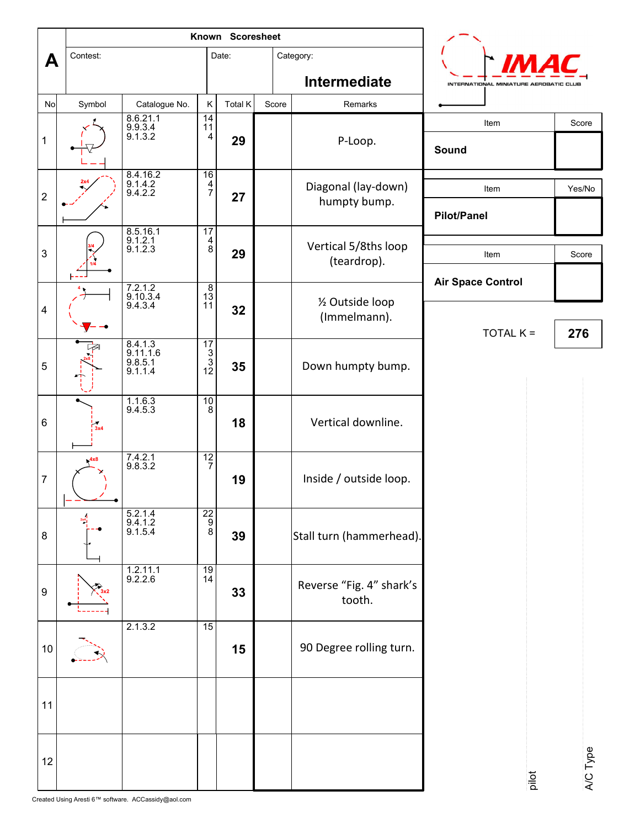|                         |          |                                             | Known Scoresheet                                  |         |       |                                     |                                        |          |
|-------------------------|----------|---------------------------------------------|---------------------------------------------------|---------|-------|-------------------------------------|----------------------------------------|----------|
| A                       | Contest: |                                             |                                                   | Date:   |       | Category:                           |                                        |          |
|                         |          |                                             |                                                   |         |       | Intermediate                        | INTERNATIONAL MINIATURE AEROBATIC CLUB |          |
| No                      | Symbol   | Catalogue No.                               | $\sf K$                                           | Total K | Score | Remarks                             |                                        |          |
| $\mathbf{1}$            |          | 8.6.21.1<br>9.9.3.4<br>9.1.3.2              | $\frac{14}{11}$                                   | 29      |       | P-Loop.                             | Item<br>Sound                          | Score    |
| $\boldsymbol{2}$        |          | 8.4.16.2<br>9.1.4.2<br>9.4.2.2              | $\begin{array}{c}\n16 \\ 4 \\ 7\n\end{array}$     | 27      |       | Diagonal (lay-down)<br>humpty bump. | Item<br><b>Pilot/Panel</b>             | Yes/No   |
| $\mathbf{3}$            |          | 8.5.16.1<br>9.1.2.1<br>9.1.2.3              | $\begin{array}{c} 17 \\ 4 \\ 8 \end{array}$       | 29      |       | Vertical 5/8ths loop<br>(teardrop). | Item                                   | Score    |
|                         |          | 7.2.1.2<br>9.10.3.4<br>9.4.3.4              | $\frac{8}{13}$<br>11                              |         |       | 1/2 Outside loop<br>(Immelmann).    | <b>Air Space Control</b>               |          |
| $\overline{\mathbf{4}}$ |          |                                             |                                                   | 32      |       |                                     | $TOTAL K =$                            | 276      |
| 5                       |          | $8.4.1.3$<br>9.11.1.6<br>9.8.5.1<br>9.1.1.4 | $\begin{array}{r} 17 \\ 3 \\ 3 \\ 12 \end{array}$ | 35      |       | Down humpty bump.                   |                                        |          |
| $\,6\,$                 | 3x4      | $\frac{1.1.6.3}{9.4.5.3}$                   | $\frac{10}{8}$                                    | 18      |       | Vertical downline.                  |                                        |          |
| $\overline{7}$          | 4x8      | $7.4.2.1$<br>9.8.3.2                        | $\frac{12}{7}$                                    | 19      |       | Inside / outside loop.              |                                        |          |
| 8                       | 2x4      | $5.2.1.4$<br>9.4.1.2<br>9.1.5.4             | $\begin{array}{c}\n 22 \\  9 \\  8\n \end{array}$ | 39      |       | Stall turn (hammerhead).            |                                        |          |
| $\boldsymbol{9}$        |          | $\frac{1.2.11.1}{9.2.2.6}$                  | $\frac{19}{14}$                                   | 33      |       | Reverse "Fig. 4" shark's<br>tooth.  |                                        |          |
| 10                      |          | 2.1.3.2                                     | 15                                                | 15      |       | 90 Degree rolling turn.             |                                        |          |
| 11                      |          |                                             |                                                   |         |       |                                     |                                        |          |
| 12                      |          |                                             |                                                   |         |       |                                     | pilot                                  | A/C Type |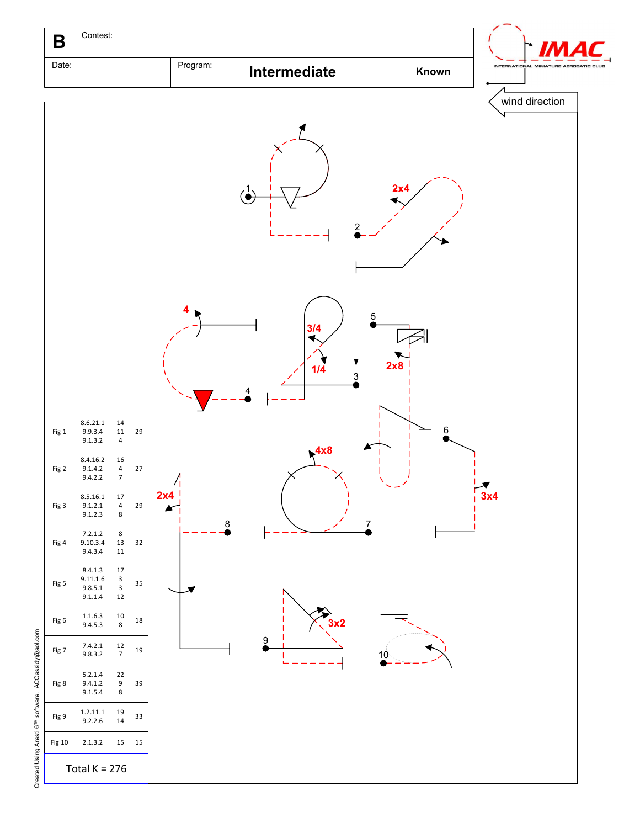